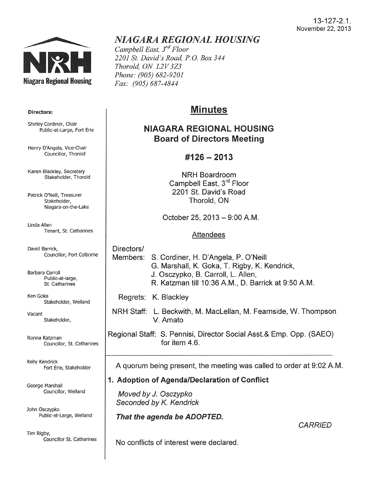#### 13-127-2.1. November 22, 2013



# *NIAGARA REGIONAL HOUSING*

*Campbell East, 3rd Floor 2201 St. David's Road, P.O. Box 344 Thorold, ON L2V 3Z3 Phone: (905) 682-9201 Fax: (905) 687-4844* 

# Minutes

## NIAGARA REGIONAl HOUSING Board of Directors Meeting

## #126- 2013

NRH Boardroom Campbell East, 3<sup>rd</sup> Floor 2201 St. David's Road Thorold, ON

October 25, 2013 - 9:00 A.M.

#### Attendees

Directors/ Members: S. Cordiner, H. D'Angela, P. O'Neill G. Marshall, K. Goka, T. Rigby, K. Kendrick, J. Osczypko, B. Carroll, L. Allen,

R. Katzman till 10:36 A.M., D. Barrick at 9:50 A.M.

Regrets: K. Blackley

NRH Staff: L. Beckwith, M. Maclellan, M. Fearnside, W. Thompson V. Amato

Regional Staff: S. Pennisi, Director Social Asst.& Emp. Opp. (SAEO) for item 4.6.

A quorum being present, the meeting was called to order at 9:02 A.M.

### 1. Adoption of Agenda/Declaration of Conflict

Moved by J. Osczypko Seconded by *K.* Kendrick

That the agenda be ADOPTED.

**CARRIED** 

No conflicts of interest were declared.

#### Directors:

Shirley Cordiner, Chair Public-at-Large, Fort Erie

Henry D'Angela, Vice-Chair Councillor, Thorold

Karen Blackley, Secretary Stakeholder, Thorold

Patrick O'Neill, Treasurer Stakeholder, Niagara-on-the-Lake

Linda Allen Tenant, St. Catharines

David Barrick, Councillor, Port Colborne

Barbara Carroll Public-at-large, St. Catharines

Ken Goka Stakeholder, Weiland

Vacant Stakeholder,

Ronna Katzman Councillor, St. Catharines

Kelly Kendrick Fort Erie, Stakeholder

George Marshall Councillor, Weiland

John Osczypko Public-at-Large, Weiland

Tim Rigby, Councillor St. Catharines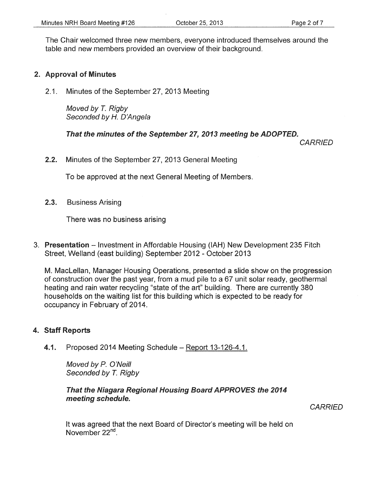The Chair welcomed three new members, everyone introduced themselves around the table and new members provided an overview of their background.

#### 2. Approval of Minutes

2.1. Minutes of the September 27, 2013 Meeting

Moved by T. Rigby Seconded by *H.* D'Angela

That the minutes of the September 27, 2013 meeting be ADOPTED.

**CARRIED** 

2.2. Minutes of the September 27, 2013 General Meeting

To be approved at the next General Meeting of Members.

2.3. Business Arising

There was no business arising

3. Presentation - Investment in Affordable Housing (!AH) New Development 235 Fitch Street, Weiland (east building) September 2012- October 2013

M. Maclellan, Manager Housing Operations, presented a slide show on the progression of construction over the past year, from a mud pile to a 67 unit solar ready, geothermal heating and rain water recycling "state of the art" building. There are currently 380 households on the waiting list for this building which is expected to be ready for occupancy in February of 2014.

### 4. Staff Reports

4.1. Proposed 2014 Meeting Schedule-Report 13-126-4.1.

Moved by P. O'Neill Seconded by T. Rigby

#### That the Niagara Regional Housing Board APPROVES the 2014 meeting schedule.

**CARRIED** 

It was agreed that the next Board of Director's meeting will be held on November 22<sup>nd</sup>.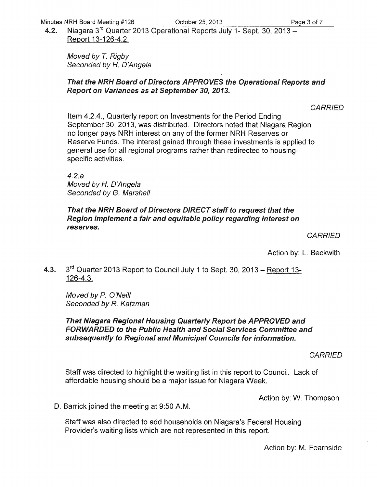4.2. Niagara 3<sup>rd</sup> Quarter 2013 Operational Reports July 1- Sept. 30, 2013 -Report 13-126-4.2.

Moved by *T.* Rigby Seconded by *H.* D'Angela

#### That the NRH Board of Directors APPROVES the Operational Reports and Report on Variances as at September 30, 2013.

**CARRIED** 

Item 4.2.4., Quarterly report on Investments for the Period Ending September 30, 2013, was distributed. Directors noted that Niagara Region no longer pays NRH interest on any of the former NRH Reserves or Reserve Funds. The interest gained through these investments is applied to general use for all regional programs rather than redirected to housingspecific activities.

4.2.a Moved by *H.* D'Angela Seconded by G. Marshall

That the NRH Board of Directors DIRECT staff to request that the Region implement a fair and equitable policy regarding interest on reserves.

**CARRIED** 

Action by: L. Beckwith

4.3.  $3^{rd}$  Quarter 2013 Report to Council July 1 to Sept. 30, 2013 – Report 13-126-4.3.

Moved by P. O'Neill Seconded by R. Katzman

#### That Niagara Regional Housing Quarterly Report be APPROVED and FORWARDED to the Public Health and Social Services Committee and subsequently to Regional and Municipal Councils for information.

**CARRIED** 

Staff was directed to highlight the waiting list in this report to Council. Lack of affordable housing should be a major issue for Niagara Week.

Action by: W. Thompson

D. Barrick joined the meeting at 9:50 A.M.

Staff was also directed to add households on Niagara's Federal Housing Provider's waiting lists which are not represented in this report.

Action by: M. Fearnside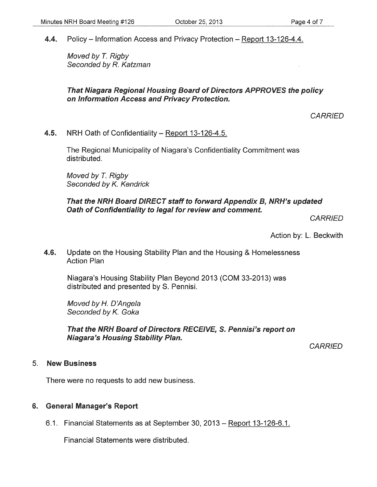4.4. Policy – Information Access and Privacy Protection – Report 13-126-4.4.

Moved by *T.* Rigby Seconded by R. Katzman

### That Niagara Regional Housing Board of Directors APPROVES the policy on Information Access and Privacy Protection.

**CARRIED** 

4.5. NRH Oath of Confidentiality - Report 13-126-4.5.

The Regional Municipality of Niagara's Confidentiality Commitment was distributed.

Moved by *T.* Rigby Seconded by K. Kendrick

#### That the NRH Board DIRECT staff to forward Appendix B, NRH's updated Oath of Confidentiality to legal for review and comment.

**CARRIED** 

Action by: L. Beckwith

4.6. Update on the Housing Stability Plan and the Housing & Homelessness Action Plan

Niagara's Housing Stability Plan Beyond 2013 (COM 33-2013) was distributed and presented by S. Pennisi.

Moved by *H.* D'Angela Seconded by K. Goka

That the NRH Board of Directors RECEIVE, S. Pennisi's report on Niagara's Housing Stability Plan.

**CARRIED** 

#### 5. New Business

There were no requests to add new business.

### 6. General Manager's Report

6.1. Financial Statements as at September 30,2013- Report 13-126-6.1.

Financial Statements were distributed.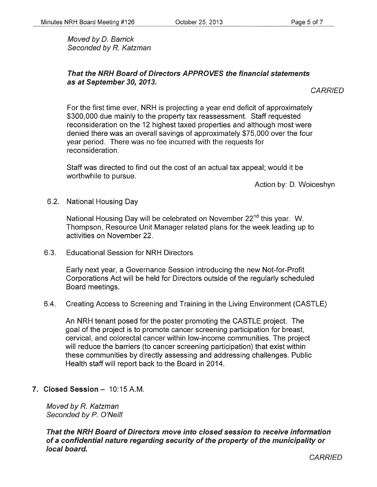Moved by D. Barrick Seconded by R. Katzman

#### That the NRH Board of Directors APPROVES the financial statements as at September 30, 2013.

**CARRIED** 

For the first time ever, NRH is projecting a year end deficit of approximately \$300,000 due mainly to the property tax reassessment. Staff requested reconsideration on the 12 highest taxed properties and although most were denied there was an overall savings of approximately \$75,000 over the four year period. There was no fee incurred with the requests for reconsideration.

Staff was directed to find out the cost of an actual tax appeal; would it be worthwhile to pursue.

Action by: D. Woiceshyn

6.2. National Housing Day

National Housing Day will be celebrated on November 22<sup>nd</sup> this year. W. Thompson, Resource Unit Manager related plans for the week leading up to activities on November 22.

6.3. Educational Session for NRH Directors

Early next year, a Governance Session introducing the new Not-for-Profit Corporations Act will be held for Directors outside of the regularly scheduled Board meetings.

6.4. Creating Access to Screening and Training in the Living Environment (CASTLE)

An NRH tenant posed for the poster promoting the CASTLE project. The goal of the project is to promote cancer screening participation for breast, cervical, and colorectal cancer within low-income communities. The project will reduce the barriers (to cancer screening participation) that exist within these communities by directly assessing and addressing challenges. Public Health staff will report back to the Board in 2014.

7. Closed Session - 10:15 A.M.

Moved by R. Katzman Seconded by P. O'Neill

That the NRH Board of Directors move into closed session to receive information of a confidential nature regarding security of the property of the municipality or local board.

**CARRIED**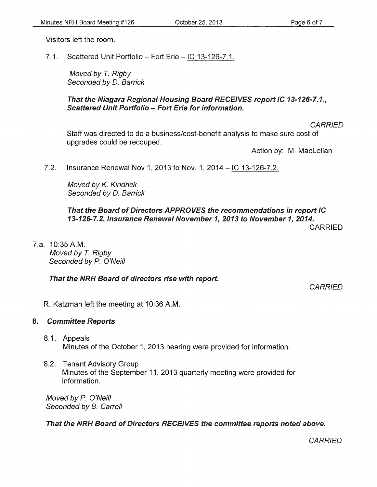Visitors left the room.

7.1. Scattered Unit Portfolio - Fort Erie - IC 13-126-7.1.

Moved by *T.* Rigby Seconded by D. Barrick

#### That the Niagara Regional Housing Board RECEIVES report IC 13-126-7.1., Scattered Unit Portfolio - Fort Erie for information.

Staff was directed to do a business/cost-benefit analysis to make sure cost of upgrades could be recouped.

Action by: M. MacLellan

7.2. Insurance Renewal Nov 1, 2013 to Nov. 1, 2014 – IC 13-126-7.2.

Moved by K. Kindrick Seconded by D. Barrick

That the Board of Directors APPROVES the recommendations in report IC 13-126-7.2.1nsurance Renewal November 1, 2013 to November 1, 2014.

CARRIED

**CARRIED** 

7.a. 10:35 A.M. Moved by T. Rigby Seconded by P. O'Neill

### That the NRH Board of directors rise with report.

**CARRIED** 

R. Katzman left the meeting at 10:36 A.M.

#### 8. Committee Reports

- 8.1. Appeals Minutes of the October 1, 2013 hearing were provided for information.
- 8.2. Tenant Advisory Group Minutes of the September 11, 2013 quarterly meeting were provided for information.

Moved by P. O'Neill Seconded by B. Carroll

That the NRH Board of Directors RECEIVES the committee reports noted above.

**CARRIED**